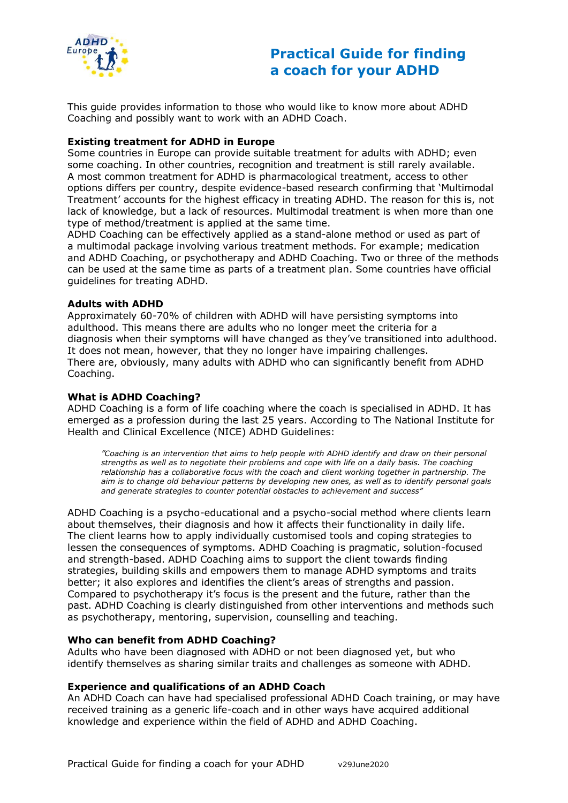

# **Practical Guide for finding a coach for your ADHD**

This guide provides information to those who would like to know more about ADHD Coaching and possibly want to work with an ADHD Coach.

# **Existing treatment for ADHD in Europe**

Some countries in Europe can provide suitable treatment for adults with ADHD; even some coaching. In other countries, recognition and treatment is still rarely available. A most common treatment for ADHD is pharmacological treatment, access to other options differs per country, despite evidence-based research confirming that 'Multimodal Treatment' accounts for the highest efficacy in treating ADHD. The reason for this is, not lack of knowledge, but a lack of resources. Multimodal treatment is when more than one type of method/treatment is applied at the same time.

ADHD Coaching can be effectively applied as a stand-alone method or used as part of a multimodal package involving various treatment methods. For example; medication and ADHD Coaching, or psychotherapy and ADHD Coaching. Two or three of the methods can be used at the same time as parts of a treatment plan. Some countries have official guidelines for treating ADHD.

### **Adults with ADHD**

Approximately 60-70% of children with ADHD will have persisting symptoms into adulthood. This means there are adults who no longer meet the criteria for a diagnosis when their symptoms will have changed as they've transitioned into adulthood. It does not mean, however, that they no longer have impairing challenges. There are, obviously, many adults with ADHD who can significantly benefit from ADHD Coaching.

# **What is ADHD Coaching?**

ADHD Coaching is a form of life coaching where the coach is specialised in ADHD. It has emerged as a profession during the last 25 years. According to The National Institute for Health and Clinical Excellence (NICE) ADHD Guidelines:

*"Coaching is an intervention that aims to help people with ADHD identify and draw on their personal strengths as well as to negotiate their problems and cope with life on a daily basis. The coaching relationship has a collaborative focus with the coach and client working together in partnership. The aim is to change old behaviour patterns by developing new ones, as well as to identify personal goals and generate strategies to counter potential obstacles to achievement and success"*

ADHD Coaching is a psycho-educational and a psycho-social method where clients learn about themselves, their diagnosis and how it affects their functionality in daily life. The client learns how to apply individually customised tools and coping strategies to lessen the consequences of symptoms. ADHD Coaching is pragmatic, solution-focused and strength-based. ADHD Coaching aims to support the client towards finding strategies, building skills and empowers them to manage ADHD symptoms and traits better; it also explores and identifies the client's areas of strengths and passion. Compared to psychotherapy it's focus is the present and the future, rather than the past. ADHD Coaching is clearly distinguished from other interventions and methods such as psychotherapy, mentoring, supervision, counselling and teaching.

### **Who can benefit from ADHD Coaching?**

Adults who have been diagnosed with ADHD or not been diagnosed yet, but who identify themselves as sharing similar traits and challenges as someone with ADHD.

### **Experience and qualifications of an ADHD Coach**

An ADHD Coach can have had specialised professional ADHD Coach training, or may have received training as a generic life-coach and in other ways have acquired additional knowledge and experience within the field of ADHD and ADHD Coaching.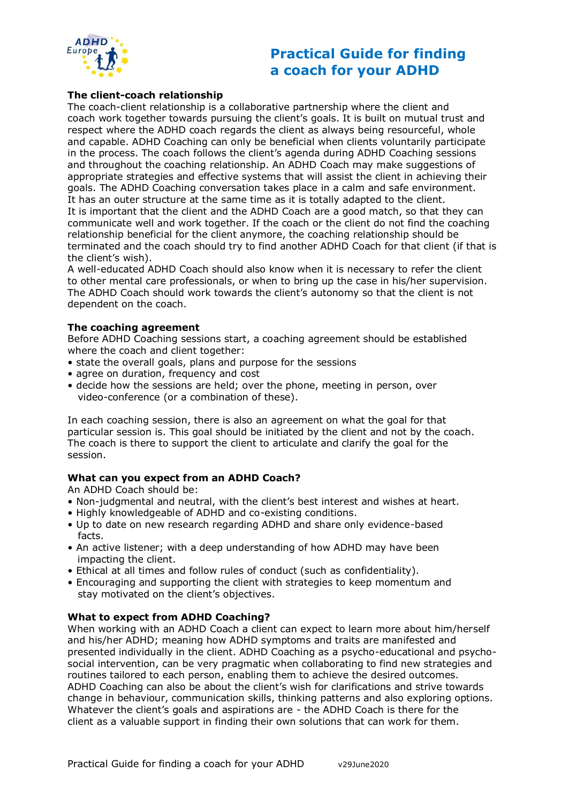

# **Practical Guide for finding a coach for your ADHD**

# **The client-coach relationship**

The coach-client relationship is a collaborative partnership where the client and coach work together towards pursuing the client's goals. It is built on mutual trust and respect where the ADHD coach regards the client as always being resourceful, whole and capable. ADHD Coaching can only be beneficial when clients voluntarily participate in the process. The coach follows the client's agenda during ADHD Coaching sessions and throughout the coaching relationship. An ADHD Coach may make suggestions of appropriate strategies and effective systems that will assist the client in achieving their goals. The ADHD Coaching conversation takes place in a calm and safe environment. It has an outer structure at the same time as it is totally adapted to the client. It is important that the client and the ADHD Coach are a good match, so that they can communicate well and work together. If the coach or the client do not find the coaching relationship beneficial for the client anymore, the coaching relationship should be terminated and the coach should try to find another ADHD Coach for that client (if that is the client's wish).

A well-educated ADHD Coach should also know when it is necessary to refer the client to other mental care professionals, or when to bring up the case in his/her supervision. The ADHD Coach should work towards the client's autonomy so that the client is not dependent on the coach.

#### **The coaching agreement**

Before ADHD Coaching sessions start, a coaching agreement should be established where the coach and client together:

- state the overall goals, plans and purpose for the sessions
- agree on duration, frequency and cost
- decide how the sessions are held; over the phone, meeting in person, over video-conference (or a combination of these).

In each coaching session, there is also an agreement on what the goal for that particular session is. This goal should be initiated by the client and not by the coach. The coach is there to support the client to articulate and clarify the goal for the session.

### **What can you expect from an ADHD Coach?**

An ADHD Coach should be:

- Non-judgmental and neutral, with the client's best interest and wishes at heart.
- Highly knowledgeable of ADHD and co-existing conditions.
- Up to date on new research regarding ADHD and share only evidence-based facts.
- An active listener; with a deep understanding of how ADHD may have been impacting the client.
- Ethical at all times and follow rules of conduct (such as confidentiality).
- Encouraging and supporting the client with strategies to keep momentum and stay motivated on the client's objectives.

### **What to expect from ADHD Coaching?**

When working with an ADHD Coach a client can expect to learn more about him/herself and his/her ADHD; meaning how ADHD symptoms and traits are manifested and presented individually in the client. ADHD Coaching as a psycho-educational and psychosocial intervention, can be very pragmatic when collaborating to find new strategies and routines tailored to each person, enabling them to achieve the desired outcomes. ADHD Coaching can also be about the client's wish for clarifications and strive towards change in behaviour, communication skills, thinking patterns and also exploring options. Whatever the client's goals and aspirations are - the ADHD Coach is there for the client as a valuable support in finding their own solutions that can work for them.